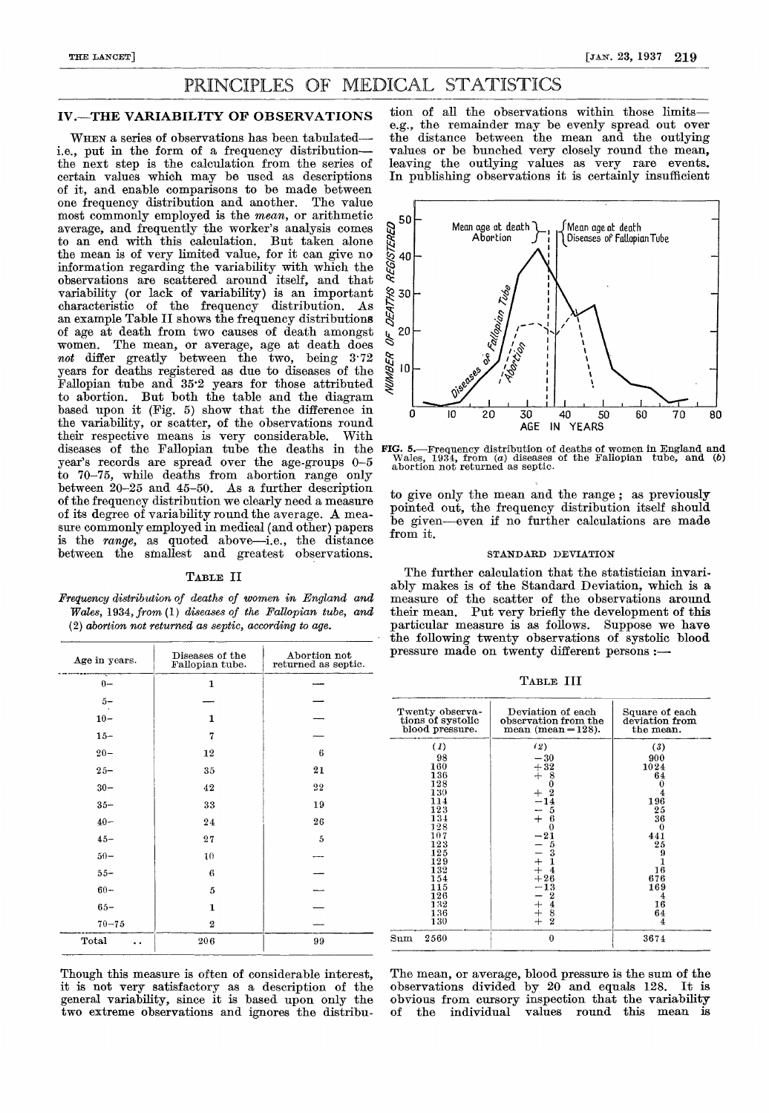# PRINCIPLES OF MEDICAL STATISTICS

#### IV.—THE VARIABILITY OF OBSERVATIONS

WHEN a series of observations has been tabulatedi.e., put in the form of a frequency distribution-the next step is the calculation from the series of certain values which may be used as descriptions of it, and enable comparisons to be made between one frequency distribution and another. The value most commonly employed is the mean, or arithmetic average, and frequently the worker's analysis comes to an end with this calculation. But taken alone the mean is of very limited value, for it can give no information regarding the variability with which the observations are scattered around itself, and that variability (or lack of variability) is an important characteristic of the frequency distribution. an example Table II shows the frequency distributions of age at death from two causes of death amongst women. The mean, or average, age at death does not differ greatly between the two, being 3.72 years for deaths registered as due to diseases of the Fallopian tube and 35'2 years for those attributed to abortion. But both the table and the diagram based upon it (Fig. 5) show that the difference in the variability, or scatter, of the observations round their respective means is very considerable. With diseases of the Fallopian tube the deaths in the FIG. 5. year's records are spread over the age-groups 0-5 to 70-75, while deaths from abortion range only between 20-25 and 45-50. As a further description of the frequency distribution we clearly need a measure of its degree of variability round the average. A measure commonly employed in medical (and other) papers is the range, as quoted above-i.e., the distance between the smallest and greatest observations.

### TABLE II

Frequency distribution of deaths of women in England and Wales, 1934, from (1) diseases of the Fallopian tube, and (2) abortion not returned as septic, according to age.

| Age in years. | Abortion not<br>Diseases of the<br>returned as septic.<br>Fallopian tube. |    |  |  |
|---------------|---------------------------------------------------------------------------|----|--|--|
| $0 -$         | 1                                                                         |    |  |  |
| $5-$          |                                                                           |    |  |  |
| $10 -$        | $\mathbf{1}$                                                              |    |  |  |
| $15 -$        | 7                                                                         |    |  |  |
| $20 -$        | 12                                                                        | 6  |  |  |
| $25 -$        | 35                                                                        | 21 |  |  |
| $30 -$        | 42                                                                        | 22 |  |  |
| $35 -$        | 33                                                                        | 19 |  |  |
| $40 -$        | 24                                                                        | 26 |  |  |
| $45 -$        | 27                                                                        | 5  |  |  |
| $50-$         | 10                                                                        |    |  |  |
| $55 -$        | 6                                                                         |    |  |  |
| $60 -$        | 5                                                                         |    |  |  |
| $65 -$        | 1                                                                         |    |  |  |
| $70 - 75$     | $\boldsymbol{2}$                                                          |    |  |  |
| Total<br>. .  | 206                                                                       | 99 |  |  |

Though this measure is often of considerable interest, it is not very satisfactory as a description of the general variability, since it is based upon only the two extreme observations and ignores the distribu-

tion of all the observations within those limitse.g., the remainder may be evenly spread out over the distance between the mean and the outlying values or be bunched very closely round the mean, leaving the outlying values as very rare events. In publishing observations it is certainly insufficient



FIG. 5.-Frequency distribution of deaths of women in England and Wales, 1934, from (a) diseases of the Fallopian tube, and (b) abortion not returned as septic.

to give only the mean and the range ; as previously pointed out, the frequency distribution itself should be given---even if no further calculations are made from it.

#### STANDARD DEVIATION

The further calculation that the statistician invariably makes is of the Standard Deviation, which is a measure of the scatter of the observations around their mean. Put very briefly the development of this particular measure is as follows. Suppose we have the following twenty observations of systolic blood pressure made on twenty different persons :-

TABLE III

| Twenty observa-<br>tions of systolic<br>blood pressure. | Deviation of each<br>observation from the<br>$mean (mean = 128).$ | Square of each<br>deviation from<br>the mean. |  |
|---------------------------------------------------------|-------------------------------------------------------------------|-----------------------------------------------|--|
| (1)                                                     | (2)                                                               | (3)                                           |  |
| 98                                                      | $-30$                                                             | 900                                           |  |
| 160                                                     | $+32$                                                             | 1024                                          |  |
| 136                                                     | $+$<br>8                                                          | 64                                            |  |
| 128                                                     | $\bf{0}$                                                          |                                               |  |
| 130                                                     | $\boldsymbol{2}$                                                  |                                               |  |
| 114                                                     | $\frac{-14}{-5}$                                                  | 196                                           |  |
| 123                                                     |                                                                   | 25                                            |  |
| 134                                                     | $+$<br>-6                                                         | 36                                            |  |
| 128                                                     | 0                                                                 |                                               |  |
| 107                                                     | $-21$                                                             | 441                                           |  |
| 123<br>125                                              | 5<br>3                                                            | 25<br>9                                       |  |
| 129                                                     |                                                                   |                                               |  |
| 132                                                     | $rac{+}{+}$                                                       | 16                                            |  |
| 154                                                     | $+26$                                                             | 676                                           |  |
| 115                                                     | $-13$                                                             | 169                                           |  |
| 126                                                     | $\boldsymbol{2}$                                                  | 4                                             |  |
| 132                                                     | $-$<br>$+$                                                        | 16                                            |  |
| 136                                                     | $\frac{4}{8}$                                                     | 64                                            |  |
| 130                                                     | $\boldsymbol{2}$                                                  | 4                                             |  |
| 2560<br>$_{\rm Sum}$                                    | $\bf{0}$                                                          | 3674                                          |  |

The mean, or average, blood pressure is the sum of the observations divided by 20 and equals 128. It is obvious from cursory inspection that the variability<br>of the individual values round this mean is individual values round this mean is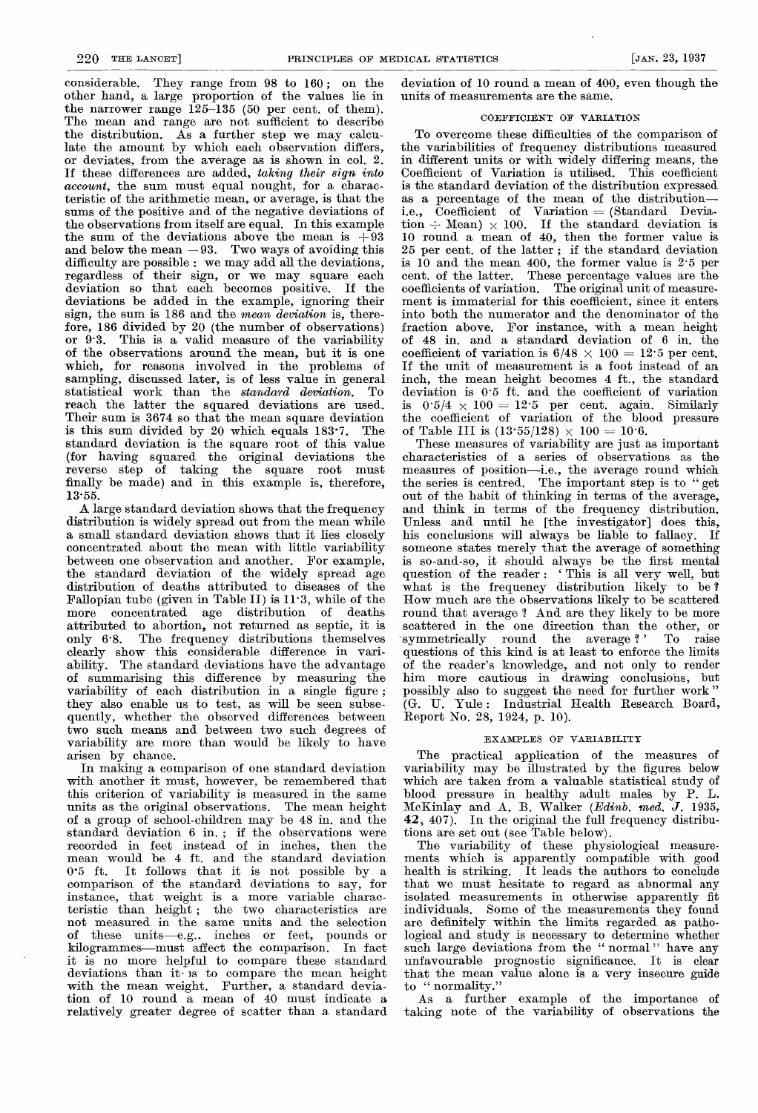considerable. They range from 98 to 160 ; on the other hand, a large proportion of the values lie in the narrower range 125-135 (50 per cent. of them). The mean and range are not sufficient to describe the distribution. As a further step we may calculate the amount by which each observation differs, or deviates, from the average as is shown in col. 2. If these differences are added, taking their sign into account, the sum must equal nought, for a characteristic of the arithmetic mean, or average, is that the sums of the positive and of the negative deviations of the observations from itself are equal. In this example the sum of the deviations above the mean is  $+93$ and below the mean  $-93$ . Two ways of avoiding this difficulty are possible : we may add all the deviations, regardless of their sign, or we may square each deviation so that each becomes positive. If the deviations be added in the example, ignoring their sign, the sum is 186 and the *mean deviation* is, there-<br>fore, 186 divided by 20 (the number of observations) or  $9.3$ . This is a valid measure of the variability of the observations around the mean, but it is one which, for reasons involved in the problems of sampling, discussed later, is of less value in general statistical work than the standard deviation. To reach the latter the squared deviations are used. Their sum is 3674 so that the mean square deviation is this sum divided by 20 which equals 183'7. The standard deviation is the square root of this value (for having squared the original deviations the reverse step of taking the square root must finally be made) and in this example is, therefore, 13-55.

A large standard deviation shows that the frequency distribution is widely spread out from the mean while a small standard deviation shows that it lies closely concentrated about the mean with little variability between one observation and another. For example, the standard deviation of the widely spread age distribution of deaths attributed to diseases of the Fallopian tube (given in Table II) is 11-3, while of the more concentrated age distribution of deaths attributed to abortion, not returned as septic, it is only 6'8. The frequency distributions themselves clearly show this considerable difference in variability. The standard deviations have the advantage of summarising this difference by measuring the variability of each distribution in a single figure; they also enable us to test, as will be seen subsequently, whether the observed differences between two such means and between two such degrees of variability are more than would be likely to have arisen by chance.

In making a comparison of one standard deviation with another it must, however, be remembered that this criterion of variability is measured in the same units as the original observations. The mean height of a group of school-children may be 48 in. and the standard deviation 6 in. ; if the observations were recorded in feet instead of in inches, then the mean would be 4 ft. and the standard deviation 0-5 ft. It follows that it is not possible by a comparison of the standard deviations to say, for instance, that weight is a more variable characteristic than height ; the two characteristics are not measured in the same units and the selection of these units—e.g.. inches or feet, pounds or kilogrammes-must affect the comparison. In fact it is no more helpful to compare these standard deviations than it is to compare the mean height with the mean weight. Further, a standard deviation of 10 round a mean of 40 must indicate a relatively greater degree of scatter than a, standard

deviation of 10 round a mean of 400, even though the units of measurements are the same.

#### COEFFICIENT OF VARIATION

To overcome these difficulties of the comparison of the variabilities of frequency distributions measured in different units or with widely differing means, the Coefficient of Variation is utilised. This coefficient<br>is the standard deviation of the distribution expressed as a percentage of the mean of the distributioni.e., Coefficient of Variation = (Standard Devia- $\text{tion} \div \text{Mean}$   $\times 100$ . If the standard deviation is 10 round a mean of 40, then the former value is 25 per cent. of the latter ; if the standard deviation is 10 and the mean 400, the former value is 2'5 per cent. of the latter. These percentage values are the coefficients of variation. The original unit of measurement is immaterial for this coefficient, since it enters into both the numerator and the denominator of the fraction above. For instance, with a mean height of 48 in. and a standard deviation of 6 in. the coefficient of variation is  $6/48 \times 100 = 12.5$  per cent. If the unit of measurement is a foot instead of an inch, the mean height becomes 4 ft., the standard deviation is 0'5 ft. and the coefficient of variation is  $0.5/4 \times 100 = 12.5$  per cent. again. Similarly the coefficient of variation of the blood pressure of Table III is  $(13.55/128) \times 100 = 10.6$ .

These measures of variability are just as important characteristics of a series of observations as the measures of position-i.e., the average round which the series is centred. The important step is to " get out of the habit of thinking in terms of the average, and think in terms of the frequency distribution. Unless and until he [the investigator] does this, his conclusions will always be liable to fallacy. If someone states merely that the average of something is so-and-so, it should always be the first mental question of the reader: 'This is all very well, but what is the frequency distribution likely to be? How much are the observations likely to be scattered round that average ? And are they likely to be more scattered in the one direction than the other, or -symmetrically round the average ' To raise questions of this kind is at least to enforce the limits of the reader's knowledge, and not only to render him more cautious in drawing conclusions, but possibly also to suggest the need for further work " (G. U. Yule: Industrial Health Research Board, Report No. 28, 1924, p. 10).

### EXAMPLES OF VARIABILITY

The practical application of the measures of variability may be illustrated by the figures below which are taken from a valuable statistical study of blood pressure in healthy adult males by P. McKinlay and A. B. Walker (Edinb. med. J. 1935, 42, 407). In the original the full frequency distributions are set out (see Table below).

The variability of these physiological measurements which is apparently compatible with good health is striking. It leads the authors to conclude that we must hesitate to regard as abnormal any isolated measurements in otherwise apparently fit<br>individuals. Some of the measurements they found are definitely within the limits regarded as pathological and study is necessary to determine whether such large deviations from the "normal" have any unfavourable prognostic significance. It is clear that the mean value alone is a very insecure guide to " normality."

As a further example of the importance of taking note of the variability of observations the